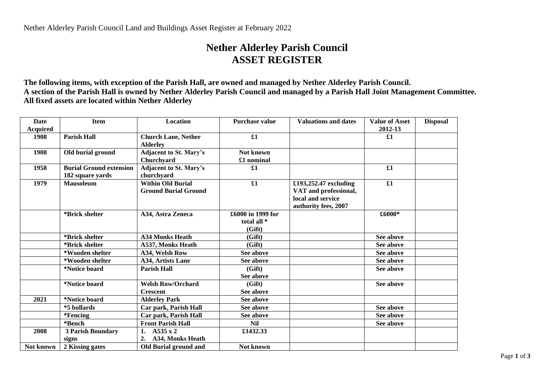## **Nether Alderley Parish Council ASSET REGISTER**

**The following items, with exception of the Parish Hall, are owned and managed by Nether Alderley Parish Council. A section of the Parish Hall is owned by Nether Alderley Parish Council and managed by a Parish Hall Joint Management Committee. All fixed assets are located within Nether Alderley**

| <b>Date</b>     | <b>Item</b>                                        | Location                                                | <b>Purchase value</b>                      | <b>Valuations and dates</b>                                                                 | <b>Value of Asset</b> | <b>Disposal</b> |
|-----------------|----------------------------------------------------|---------------------------------------------------------|--------------------------------------------|---------------------------------------------------------------------------------------------|-----------------------|-----------------|
| <b>Acquired</b> |                                                    |                                                         |                                            |                                                                                             | 2012-13               |                 |
| 1908            | <b>Parish Hall</b>                                 | <b>Church Lane, Nether</b><br><b>Alderley</b>           | $\pmb{\pounds}1$                           |                                                                                             | £1                    |                 |
| 1908            | Old burial ground                                  | <b>Adjacent to St. Mary's</b><br>Churchyard             | Not known<br>£1 nominal                    |                                                                                             |                       |                 |
| 1958            | <b>Burial Ground extension</b><br>182 square yards | <b>Adjacent to St. Mary's</b><br>churchyard             | £1                                         |                                                                                             | £1                    |                 |
| 1979            | <b>Mausoleum</b>                                   | <b>Within Old Burial</b><br><b>Ground Burial Ground</b> | £1                                         | £193,252.47 excluding<br>VAT and professional,<br>local and service<br>authority fees, 2007 | $\pmb{\pounds}1$      |                 |
|                 | *Brick shelter                                     | <b>A34, Astra Zeneca</b>                                | £6000 in 1999 for<br>total all *<br>(Gift) |                                                                                             | £6000*                |                 |
|                 | *Brick shelter                                     | <b>A34 Monks Heath</b>                                  | (Gift)                                     |                                                                                             | See above             |                 |
|                 | *Brick shelter                                     | A537, Monks Heath                                       | (Gift)                                     |                                                                                             | See above             |                 |
|                 | *Wooden shelter                                    | A34, Welsh Row                                          | See above                                  |                                                                                             | See above             |                 |
|                 | *Wooden shelter                                    | <b>A34. Artists Lane</b>                                | See above                                  |                                                                                             | See above             |                 |
|                 | *Notice board                                      | <b>Parish Hall</b>                                      | (Gift)<br>See above                        |                                                                                             | See above             |                 |
|                 | *Notice board                                      | <b>Welsh Row/Orchard</b><br><b>Crescent</b>             | (Gift)<br>See above                        |                                                                                             | See above             |                 |
| 2021            | *Notice board                                      | <b>Alderley Park</b>                                    | See above                                  |                                                                                             |                       |                 |
|                 | *5 bollards                                        | Car park, Parish Hall                                   | See above                                  |                                                                                             | See above             |                 |
|                 | *Fencing                                           | Car park, Parish Hall                                   | See above                                  |                                                                                             | See above             |                 |
|                 | *Bench                                             | <b>Front Parish Hall</b>                                | Nil                                        |                                                                                             | See above             |                 |
| 2008            | <b>3 Parish Boundary</b><br>signs                  | A535 x 2<br>1.<br>2.<br>A34, Monks Heath                | £1432.33                                   |                                                                                             |                       |                 |
| Not known       | 2 Kissing gates                                    | Old Burial ground and                                   | Not known                                  |                                                                                             |                       |                 |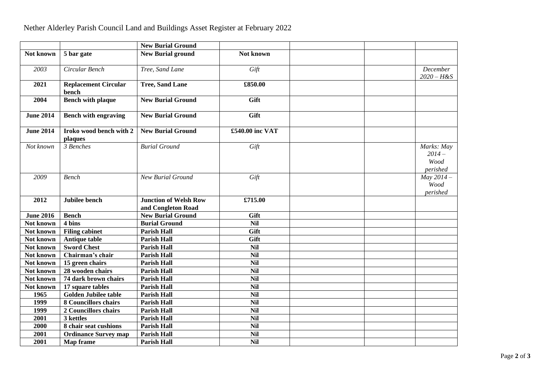|                  |                                      | <b>New Burial Ground</b>                           |                 |  |                                           |
|------------------|--------------------------------------|----------------------------------------------------|-----------------|--|-------------------------------------------|
| Not known        | 5 bar gate                           | <b>New Burial ground</b>                           | Not known       |  |                                           |
| 2003             | Circular Bench                       | Tree, Sand Lane                                    | Gift            |  | December<br>$2020 - H & S$                |
| 2021             | <b>Replacement Circular</b><br>bench | <b>Tree, Sand Lane</b>                             | £850.00         |  |                                           |
| 2004             | <b>Bench with plaque</b>             | <b>New Burial Ground</b>                           | Gift            |  |                                           |
| <b>June 2014</b> | <b>Bench with engraving</b>          | <b>New Burial Ground</b>                           | Gift            |  |                                           |
| <b>June 2014</b> | Iroko wood bench with 2<br>plaques   | <b>New Burial Ground</b>                           | £540.00 inc VAT |  |                                           |
| Not known        | 3 Benches                            | <b>Burial Ground</b>                               | Gift            |  | Marks: May<br>$2014-$<br>Wood<br>perished |
| 2009             | <b>Bench</b>                         | <b>New Burial Ground</b>                           | Gift            |  | May $2014-$<br>Wood<br>perished           |
| 2012             | Jubilee bench                        | <b>Junction of Welsh Row</b><br>and Congleton Road | £715.00         |  |                                           |
| <b>June 2016</b> | <b>Bench</b>                         | <b>New Burial Ground</b>                           | Gift            |  |                                           |
| Not known        | 4 bins                               | <b>Burial Ground</b>                               | <b>Nil</b>      |  |                                           |
| Not known        | <b>Filing cabinet</b>                | <b>Parish Hall</b>                                 | Gift            |  |                                           |
| Not known        | <b>Antique table</b>                 | <b>Parish Hall</b>                                 | Gift            |  |                                           |
| Not known        | <b>Sword Chest</b>                   | <b>Parish Hall</b>                                 | <b>Nil</b>      |  |                                           |
| Not known        | Chairman's chair                     | <b>Parish Hall</b>                                 | <b>Nil</b>      |  |                                           |
| Not known        | 15 green chairs                      | <b>Parish Hall</b>                                 | <b>Nil</b>      |  |                                           |
| Not known        | 28 wooden chairs                     | <b>Parish Hall</b>                                 | <b>Nil</b>      |  |                                           |
| Not known        | 74 dark brown chairs                 | <b>Parish Hall</b>                                 | <b>Nil</b>      |  |                                           |
| Not known        | 17 square tables                     | <b>Parish Hall</b>                                 | <b>Nil</b>      |  |                                           |
| 1965             | <b>Golden Jubilee table</b>          | <b>Parish Hall</b>                                 | <b>Nil</b>      |  |                                           |
| 1999             | <b>8 Councillors chairs</b>          | <b>Parish Hall</b>                                 | <b>Nil</b>      |  |                                           |
| 1999             | 2 Councillors chairs                 | <b>Parish Hall</b>                                 | <b>Nil</b>      |  |                                           |
| 2001             | 3 kettles                            | <b>Parish Hall</b>                                 | Nil             |  |                                           |
| 2000             | 8 chair seat cushions                | <b>Parish Hall</b>                                 | <b>Nil</b>      |  |                                           |
| 2001             | <b>Ordinance Survey map</b>          | <b>Parish Hall</b>                                 | <b>Nil</b>      |  |                                           |
| 2001             | <b>Map</b> frame                     | <b>Parish Hall</b>                                 | <b>Nil</b>      |  |                                           |